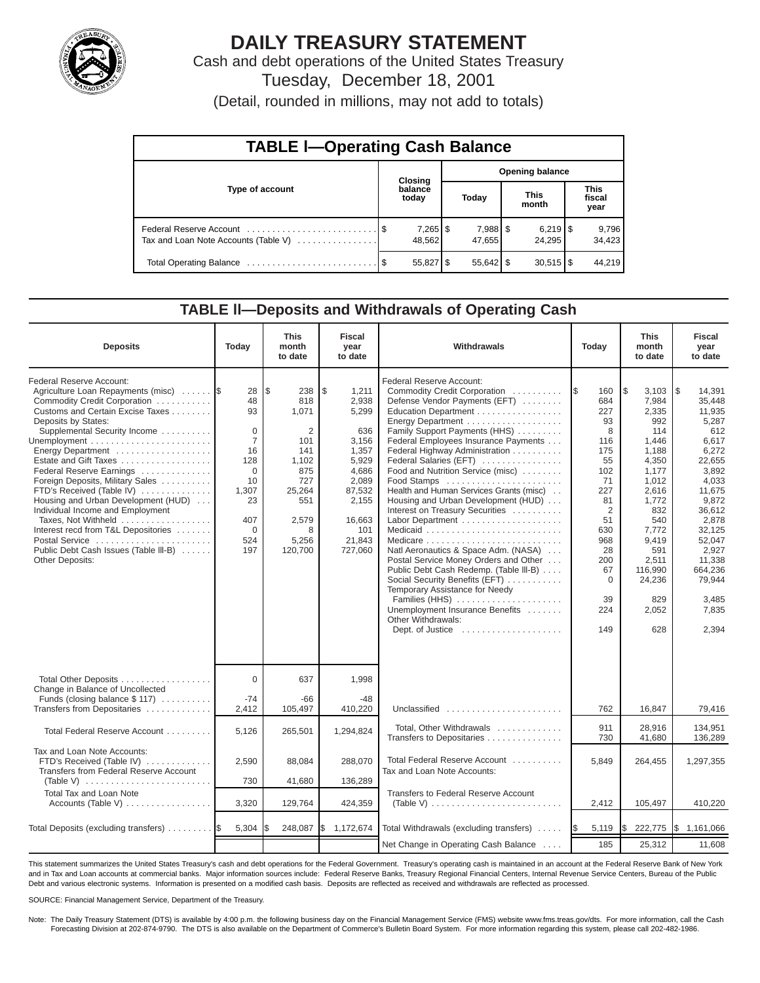

# **DAILY TREASURY STATEMENT**

Cash and debt operations of the United States Treasury Tuesday, December 18, 2001

(Detail, rounded in millions, may not add to totals)

| <b>TABLE I-Operating Cash Balance</b> |  |                                 |                        |                      |  |                                 |                               |                 |  |  |
|---------------------------------------|--|---------------------------------|------------------------|----------------------|--|---------------------------------|-------------------------------|-----------------|--|--|
|                                       |  | <b>Closing</b>                  | <b>Opening balance</b> |                      |  |                                 |                               |                 |  |  |
| Type of account                       |  | balance<br>today                |                        | Today                |  | <b>This</b><br>month            | <b>This</b><br>fiscal<br>year |                 |  |  |
| Tax and Loan Note Accounts (Table V)  |  | $7,265$ $\frac{1}{3}$<br>48.562 |                        | 7,988   \$<br>47.655 |  | $6,219$ $\frac{8}{3}$<br>24.295 |                               | 9,796<br>34.423 |  |  |
|                                       |  | $55,827$ \$                     |                        | $55,642$ \$          |  | $30,515$ $\frac{8}{3}$          |                               | 44.219          |  |  |

### **TABLE ll—Deposits and Withdrawals of Operating Cash**

| <b>Deposits</b>                                                                                                                                                                                                                                                                                                                                                                                                                                                                                                                                             | Today                                                                                                                             | <b>This</b><br>month<br>to date                                                                                         | <b>Fiscal</b><br>year<br>to date                                                                                                           | Withdrawals                                                                                                                                                                                                                                                                                                                                                                                                                                                                                                                                                                                                                                                                                                                                                                                                  | Today                                                                                                                                                                         | <b>This</b><br>month<br>to date                                                                                                                                                                         | <b>Fiscal</b><br>year<br>to date                                                                                                                                                                                              |
|-------------------------------------------------------------------------------------------------------------------------------------------------------------------------------------------------------------------------------------------------------------------------------------------------------------------------------------------------------------------------------------------------------------------------------------------------------------------------------------------------------------------------------------------------------------|-----------------------------------------------------------------------------------------------------------------------------------|-------------------------------------------------------------------------------------------------------------------------|--------------------------------------------------------------------------------------------------------------------------------------------|--------------------------------------------------------------------------------------------------------------------------------------------------------------------------------------------------------------------------------------------------------------------------------------------------------------------------------------------------------------------------------------------------------------------------------------------------------------------------------------------------------------------------------------------------------------------------------------------------------------------------------------------------------------------------------------------------------------------------------------------------------------------------------------------------------------|-------------------------------------------------------------------------------------------------------------------------------------------------------------------------------|---------------------------------------------------------------------------------------------------------------------------------------------------------------------------------------------------------|-------------------------------------------------------------------------------------------------------------------------------------------------------------------------------------------------------------------------------|
| Federal Reserve Account:<br>Agriculture Loan Repayments (misc)<br>Commodity Credit Corporation<br>Customs and Certain Excise Taxes<br>Deposits by States:<br>Supplemental Security Income<br>Energy Department<br>Estate and Gift Taxes<br>Federal Reserve Earnings<br>Foreign Deposits, Military Sales<br>FTD's Received (Table IV)<br>Housing and Urban Development (HUD)<br>Individual Income and Employment<br>Taxes, Not Withheld<br>Interest recd from T&L Depositories<br>Postal Service<br>Public Debt Cash Issues (Table III-B)<br>Other Deposits: | 28<br>48<br>93<br>$\mathbf 0$<br>$\overline{7}$<br>16<br>128<br>$\Omega$<br>10<br>1,307<br>23<br>407<br>$\mathbf 0$<br>524<br>197 | l\$<br>238<br>818<br>1,071<br>2<br>101<br>141<br>1,102<br>875<br>727<br>25,264<br>551<br>2,579<br>8<br>5,256<br>120,700 | \$<br>1,211<br>2,938<br>5,299<br>636<br>3,156<br>1,357<br>5,929<br>4,686<br>2,089<br>87,532<br>2,155<br>16,663<br>101<br>21,843<br>727,060 | Federal Reserve Account:<br>Commodity Credit Corporation<br>Defense Vendor Payments (EFT)<br>Education Department<br>Energy Department<br>Family Support Payments (HHS)<br>Federal Employees Insurance Payments<br>Federal Highway Administration<br>Federal Salaries (EFT)<br>Food and Nutrition Service (misc)<br>Food Stamps<br>Health and Human Services Grants (misc)<br>Housing and Urban Development (HUD)<br>Interest on Treasury Securities<br>Labor Department<br>Natl Aeronautics & Space Adm. (NASA)<br>Postal Service Money Orders and Other<br>Public Debt Cash Redemp. (Table III-B)<br>Social Security Benefits (EFT)<br>Temporary Assistance for Needy<br>Families (HHS)<br>Unemployment Insurance Benefits<br>Other Withdrawals:<br>Dept. of Justice $\dots\dots\dots\dots\dots\dots\dots$ | 1\$<br>160<br>684<br>227<br>93<br>8<br>116<br>175<br>55<br>102<br>71<br>227<br>81<br>$\overline{2}$<br>51<br>630<br>968<br>28<br>200<br>67<br>$\mathbf 0$<br>39<br>224<br>149 | Ι\$<br>3,103<br>7,984<br>2,335<br>992<br>114<br>1,446<br>1,188<br>4,350<br>1,177<br>1,012<br>2,616<br>1,772<br>832<br>540<br>7,772<br>9,419<br>591<br>2,511<br>116,990<br>24,236<br>829<br>2,052<br>628 | l \$<br>14,391<br>35.448<br>11,935<br>5,287<br>612<br>6,617<br>6,272<br>22,655<br>3,892<br>4,033<br>11,675<br>9,872<br>36,612<br>2,878<br>32,125<br>52,047<br>2,927<br>11,338<br>664,236<br>79.944<br>3.485<br>7,835<br>2,394 |
| Total Other Deposits<br>Change in Balance of Uncollected<br>Funds (closing balance \$117)                                                                                                                                                                                                                                                                                                                                                                                                                                                                   | $\Omega$<br>$-74$                                                                                                                 | 637<br>-66                                                                                                              | 1,998<br>$-48$                                                                                                                             |                                                                                                                                                                                                                                                                                                                                                                                                                                                                                                                                                                                                                                                                                                                                                                                                              |                                                                                                                                                                               |                                                                                                                                                                                                         |                                                                                                                                                                                                                               |
| Transfers from Depositaries                                                                                                                                                                                                                                                                                                                                                                                                                                                                                                                                 | 2,412                                                                                                                             | 105,497                                                                                                                 | 410,220                                                                                                                                    | Unclassified                                                                                                                                                                                                                                                                                                                                                                                                                                                                                                                                                                                                                                                                                                                                                                                                 | 762                                                                                                                                                                           | 16,847                                                                                                                                                                                                  | 79,416                                                                                                                                                                                                                        |
| Total Federal Reserve Account                                                                                                                                                                                                                                                                                                                                                                                                                                                                                                                               | 5,126                                                                                                                             | 265,501                                                                                                                 | 1,294,824                                                                                                                                  | Total, Other Withdrawals<br>Transfers to Depositaries                                                                                                                                                                                                                                                                                                                                                                                                                                                                                                                                                                                                                                                                                                                                                        | 911<br>730                                                                                                                                                                    | 28.916<br>41,680                                                                                                                                                                                        | 134.951<br>136,289                                                                                                                                                                                                            |
| Tax and Loan Note Accounts:<br>FTD's Received (Table IV)<br>Transfers from Federal Reserve Account<br>(Table V) $\ldots \ldots \ldots \ldots \ldots \ldots \ldots$                                                                                                                                                                                                                                                                                                                                                                                          | 2,590<br>730                                                                                                                      | 88,084<br>41,680                                                                                                        | 288,070<br>136,289                                                                                                                         | Total Federal Reserve Account<br>Tax and Loan Note Accounts:                                                                                                                                                                                                                                                                                                                                                                                                                                                                                                                                                                                                                                                                                                                                                 | 5,849                                                                                                                                                                         | 264,455                                                                                                                                                                                                 | 1,297,355                                                                                                                                                                                                                     |
| <b>Total Tax and Loan Note</b><br>Accounts (Table V)                                                                                                                                                                                                                                                                                                                                                                                                                                                                                                        | 3,320                                                                                                                             | 129,764                                                                                                                 | 424,359                                                                                                                                    | Transfers to Federal Reserve Account<br>(Table V) $\ldots \ldots \ldots \ldots \ldots \ldots \ldots \ldots$                                                                                                                                                                                                                                                                                                                                                                                                                                                                                                                                                                                                                                                                                                  | 2,412                                                                                                                                                                         | 105,497                                                                                                                                                                                                 | 410,220                                                                                                                                                                                                                       |
| Total Deposits (excluding transfers)                                                                                                                                                                                                                                                                                                                                                                                                                                                                                                                        | 5,304                                                                                                                             | 248,087                                                                                                                 | \$<br>1,172,674                                                                                                                            | Total Withdrawals (excluding transfers) $\ldots$ $\frac{1}{9}$                                                                                                                                                                                                                                                                                                                                                                                                                                                                                                                                                                                                                                                                                                                                               | 5,119                                                                                                                                                                         | I\$<br>222,775                                                                                                                                                                                          | \$1,161,066                                                                                                                                                                                                                   |
|                                                                                                                                                                                                                                                                                                                                                                                                                                                                                                                                                             |                                                                                                                                   |                                                                                                                         |                                                                                                                                            | Net Change in Operating Cash Balance                                                                                                                                                                                                                                                                                                                                                                                                                                                                                                                                                                                                                                                                                                                                                                         | 185                                                                                                                                                                           | 25,312                                                                                                                                                                                                  | 11,608                                                                                                                                                                                                                        |

This statement summarizes the United States Treasury's cash and debt operations for the Federal Government. Treasury's operating cash is maintained in an account at the Federal Reserve Bank of New York and in Tax and Loan accounts at commercial banks. Major information sources include: Federal Reserve Banks, Treasury Regional Financial Centers, Internal Revenue Service Centers, Bureau of the Public Debt and various electronic systems. Information is presented on a modified cash basis. Deposits are reflected as received and withdrawals are reflected as processed.

SOURCE: Financial Management Service, Department of the Treasury.

Note: The Daily Treasury Statement (DTS) is available by 4:00 p.m. the following business day on the Financial Management Service (FMS) website www.fms.treas.gov/dts. For more information, call the Cash Forecasting Division at 202-874-9790. The DTS is also available on the Department of Commerce's Bulletin Board System. For more information regarding this system, please call 202-482-1986.